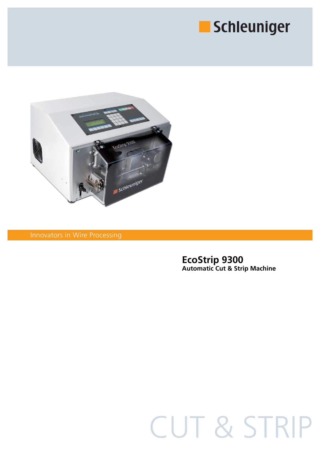



Innovators in Wire Processing

### **EcoStrip 9300 Automatic Cut & Strip Machine**

# CUT & STRIP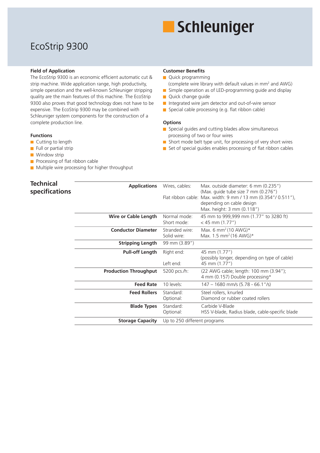# Schleuniger

## EcoStrip 9300

#### **Field of Application**

The EcoStrip 9300 is an economic efficient automatic cut & strip machine. Wide application range, high productivity, simple operation and the well-known Schleuniger stripping quality are the main features of this machine. The EcoStrip 9300 also proves that good technology does not have to be expensive. The EcoStrip 9300 may be combined with Schleuniger system components for the construction of a complete production line.

#### **Functions**

- Cutting to length
- Full or partial strip
- **Window strip**

- $\blacksquare$  Processing of flat ribbon cable
- **Multiple wire processing for higher throughput**

#### **Customer Benefits**

- **Quick programming**
- (complete wire library with default values in mm2 and AWG) Simple operation as of LED-programming guide and display
- **Quick change guide**
- Integrated wire jam detector and out-of-wire sensor
- $\blacksquare$  Special cable processing (e.g. flat ribbon cable)

#### **Options**

- Special guides and cutting blades allow simultaneous processing of two or four wires
- Short mode belt type unit, for processing of very short wires
- $\blacksquare$  Set of special guides enables processing of flat ribbon cables

| <b>Technical</b> | <b>Applications</b>          | Wires, cables:               | Max. outside diameter: 6 mm (0.235")                          |
|------------------|------------------------------|------------------------------|---------------------------------------------------------------|
| specifications   |                              |                              | (Max. guide tube size 7 mm (0.276")                           |
|                  |                              |                              | Flat ribbon cable: Max. width: 9 mm / 13 mm (0.354"/ 0.511"), |
|                  |                              |                              | depending on cable design                                     |
|                  |                              |                              | Max. height: 3 mm (0.118")                                    |
|                  | Wire or Cable Length         | Normal mode:                 | 45 mm to 999,999 mm (1.77" to 3280 ft)                        |
|                  |                              | Short mode:                  | $<$ 45 mm (1.77")                                             |
|                  | <b>Conductor Diameter</b>    | Stranded wire:               | Max. 6 mm <sup>2</sup> (10 AWG)*                              |
|                  |                              | Solid wire:                  | Max. 1.5 mm <sup>2</sup> (16 AWG)*                            |
|                  | <b>Stripping Length</b>      | 99 mm (3.89")                |                                                               |
|                  | <b>Pull-off Length</b>       | Right end:                   | 45 mm (1.77")                                                 |
|                  |                              |                              | (possibly longer, depending on type of cable)                 |
|                  |                              | Left end:                    | 45 mm (1.77")                                                 |
|                  | <b>Production Throughput</b> | 5200 pcs./h:                 | (22 AWG cable; length: 100 mm (3.94");                        |
|                  |                              |                              | 4 mm (0.157) Double processing*                               |
|                  | <b>Feed Rate</b>             | 10 levels:                   | $147 - 1680$ mm/s (5.78 - 66.1"/s)                            |
|                  | <b>Feed Rollers</b>          | Standard:                    | Steel rollers, knurled                                        |
|                  |                              | Optional:                    | Diamond or rubber coated rollers                              |
|                  | <b>Blade Types</b>           | Standard:                    | Carbide V-Blade                                               |
|                  |                              | Optional:                    | HSS V-blade, Radius blade, cable-specific blade               |
|                  | <b>Storage Capacity</b>      | Up to 250 different programs |                                                               |
|                  |                              |                              |                                                               |